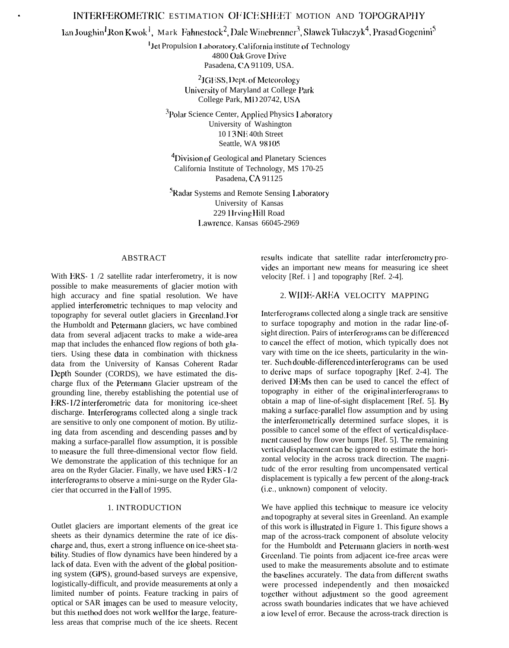# INTERFEROMETRIC ESTIMATION OF ICE SHEET MOTION AND TOPOGRAPHY

# $\text{Lan Joughin}^1$  Ron Kwok<sup>1</sup>, Mark Fahnestock<sup>2</sup>, Dale Winebrenner<sup>3</sup>, Slawek Tulaczyk<sup>4</sup>, Prasad Gogenini<sup>5</sup>

<sup>1</sup> Jet Propulsion Laboratory, California institute of Technology 4800 Oak Grove I)rive Pasadena, CA 91109, USA.

> <sup>2</sup>JGESS, Dept. of Meteorology University of Maryland at College Park College Park, MD 20742, USA

<sup>3</sup>Polar Science Center, Applied Physics Laboratory University of Washington 10 I 3 Nll 40th Street Seattle, WA 98105

<sup>4</sup>Division of Geological and Planetary Sciences California Institute of Technology, MS 170-25 Pasadena, CA 91125

'Radar Systems and Remote Sensing I .aboratory University of Kansas 229 Hrving Hill Road I,awrencc. Kansas 66045-2969

#### ABSTRACT

With ERS- 1 /2 satellite radar interferometry, it is now possible to make measurements of glacier motion with high accuracy and fine spatial resolution. We have applied interferometric techniques to map velocity and topography for several outlet glaciers in Greenland, For the Humboldt and Petermann glaciers, wc have combined data from several adjacent tracks to make a wide-area map that includes the enhanced flow regions of both glatiers. Using these clata in combination with thickness data from the University of Kansas Coherent Radar I)epth Sounder (CORDS), we have estimated the discharge flux of the Petermann Glacier upstream of the grounding line, thereby establishing the potential use of ERS-1/2 interferometric data for monitoring ice-sheet discharge. Interferograms collected along a single track are sensitive to only one component of motion. By utilizing data from ascending and descending passes and by making a surface-parallel flow assumption, it is possible to measure the full three-dimensional vector flow field. We demonstrate the application of this technique for an area on the Ryder Glacier. Finally, we have used ERS -  $1/2$ interferograms to observe a mini-surge on the Ryder Glacier that occurred in the F'all of 1995.

#### 1. INTRODUCTION

Outlet glaciers are important elements of the great ice sheets as their dynamics determine the rate of ice discharge and, thus, exert a strong influence on ice-sheet stability. Studies of flow dynamics have been hindered by a lack of data. Even with the advent of the giobal positioning system (GPS), ground-based surveys are expensive, logistically-difficult, and provide measurements at only a limited number of points. Feature tracking in pairs of optical or SAR images can be used to measure velocity, but this method does not work well for the large, featureless areas that comprise much of the ice sheets. Recent

results indicate that satellite radar interferometry provides an important new means for measuring ice sheet velocity [Ref. i ] and topography [Ref. 2-4].

#### 2. WIDE-AREA VELOCITY MAPPING

Interfcrograrns collected along a single track are sensitive to surface topography and motion in the radar line-ofsight direction. Pairs of interferograms can be differenced to cancei the effect of motion, which typically does not vary with time on the ice sheets, particularity in the winter. Such double-differenced interferograms can be used to derive maps of surface topography [Ref. 2-4]. The derived DEMs then can be used to cancel the effect of topography in either of the original interferograms to obtain a map of line-of-sight displacement [Ref. 5]. By making a surface-parailel flow assumption and by using the interferometrically determined surface slopes, it is possible to cancel some of the effect of verticai displacement caused by flow over bumps [Ref. 5]. The remaining vertical displacement can be ignored to estimate the horizontal velocity in the across track direction. The magnitudc of the error resulting from uncompensated vertical displacement is typically a few percent of the aiong-track (i.e., unknown) component of velocity.

We have applied this technique to measure ice velocity and topography at several sites in Greenland. An example of this work is illustrated in Figure 1. This figure shows a map of the across-track component of absolute velocity for the Humboldt and Petermann glaciers in north-west Greenland. Tie points from adjacent ice-free areas were used to make the measurements absolute and to estimate the baselines accurately. The data from different swaths were processed independently and then mosaicked together without adjustment so the good agreement across swath boundaries indicates that we have achieved a iow ievei of error. Because the across-track direction is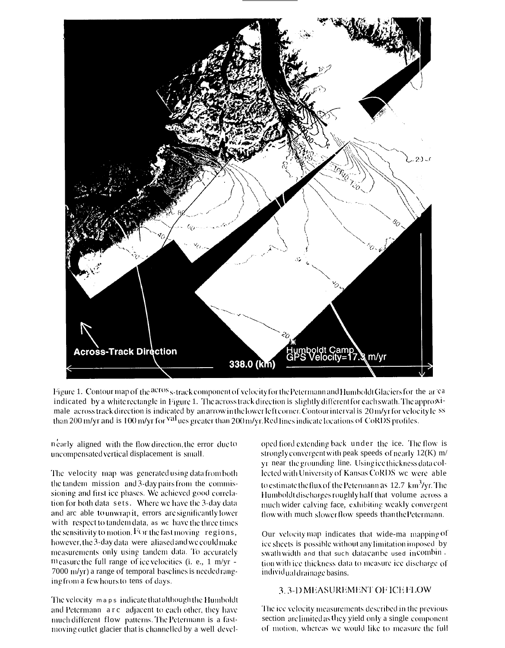

Figure 1. Contour map of the across-track component of velocity for the Petermann and Humboldt Glaciers for the area indicated by a white rectangle in Figure 1. The across track direction is slightly different for each swath. The approximale across track direction is indicated by an arrow in the lower left corner. Contour interval is 20 m/yr for velocity less than 200 m/yr and is 100 m/yr for <sup>val</sup> ues greater than 200 m/yr. Red lines indicate locations of CoRDS profiles.

nearly aligned with the flow direction, the error due to uncompensated vertical displacement is small.

The velocity map was generated using data from both the tandem mission and 3-day pairs from the commissioning and first ice phases. We achieved good correlation for both data sets. Where we have the 3-day data and arc able to unwrap it, errors are significantly lower with respect to tandem data, as we have the three times the sensitivity to motion. For the fast moving regions, however, the 3-day data were aliased and we could make measurements only using tandem data. To accurately m casure the full range of ice velocities (i. e.,  $1 \text{ m/yr}$  -7000 m/yr) a range of temporal baselines is needed ranging from a few hours to tens of days.

The velocity maps indicate that although the Humboldt and Petermann arc adjacent to each other, they have much different flow patterns. The Petermann is a fastmoving outlet glacier that is channelled by a well developed fiord extending back under the ice. The flow is strongly convergent with peak speeds of nearly  $12(K)$  m/ yr near the grounding line. Using ice thickness data collected with University of Kansas CoRDS we were able to estimate the flux of the Petermann as 12.7 km<sup>3</sup>/yr. The Humboldt discharges roughly half that volume across a much wider calving face, exhibiting weakly convergent flow with much slower flow speeds than the Petermann.

Our velocity map indicates that wide-ma mapping of ice sheets is possible without any limitation imposed by swath width and that such datacanbe used in combin. tion with ice thickness data to measure ice discharge of individual drainage basins.

## 3.3-D MEASUREMENT OF ICE FLOW

The ice velocity measurements described in the previous section are limited as they yield only a single component of motion, whereas we would like to measure the full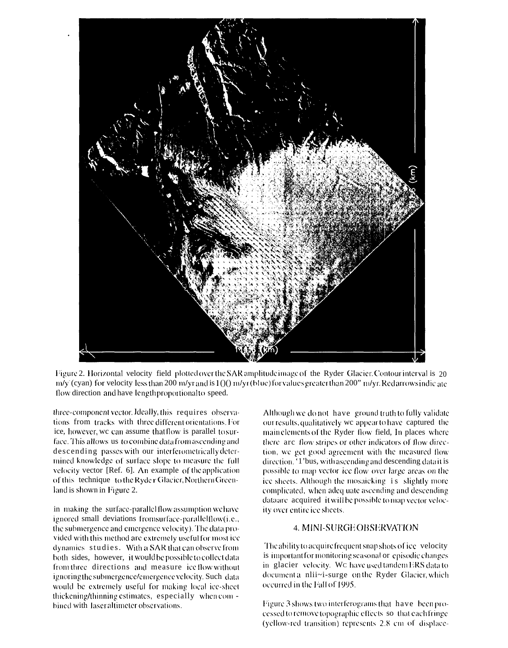

Figure 2. Horizontal velocity field plotted over the SAR amplitude image of the Ryder Glacier. Contour interval is 20  $m/y$  (cyan) for velocity less than 200 m/yr and is  $1/(0)$  m/yr (blue) for values greater than 200" m/yr. Red arrows indic ate flow direction and have length proportional to speed.

three-component vector. Ideally, this requires observations from tracks with three different orientations. For ice, however, we can assume that flow is parallel to surface. This allows us to combine data from ascending and descending passes with our interferometrically determined knowledge of surface slope to measure the full velocity vector [Ref. 6]. An example of the application of this technique to the Ryder Glacier, Northern Greenland is shown in Figure 2.

in making the surface-parallel flow assumption we have ignored small deviations fromsurface-parallelflow(i.e., the submergence and emergence velocity). The data provided with this method are extremely useful for most ice dynamics studies. With a SAR that can observe from both sides, however, it would be possible to collect data from three directions and measure ice flow without ignoring the submergence/emergence velocity. Such data would be extremely useful for making local ice-sheet thickening/thinning estimates, especially when com bined with laser altimeter observations.

Although we do not have ground truth to fully validate our results, qualitatively we appear to have captured the main elements of the Ryder flow field, In places where there are flow stripes or other indicators of flow direction, we get good agreement with the measured flow direction. '1'bus, with ascending and descending data it is possible to map vector ice flow over large areas on the ice sheets. Although the mosaicking is slightly more complicated, when adeq uate ascending and descending data are acquired it will be possible to map vector velocity over entire ice sheets.

## **4. MINI-SURGEOBSERVATION**

The ability to acquire frequent snap shots of ice velocity is important for monitoring seasonal or episodic changes in glacier velocity. We have used tandem ERS data to documenta nlii~i-surge on the Ryder Glacier, which occurred in the Fall of 1995.

Figure 3 shows two interferograms that have been processed to remove topographic effects so that each fringe (yellow-red transition) represents 2.8 cm of displace-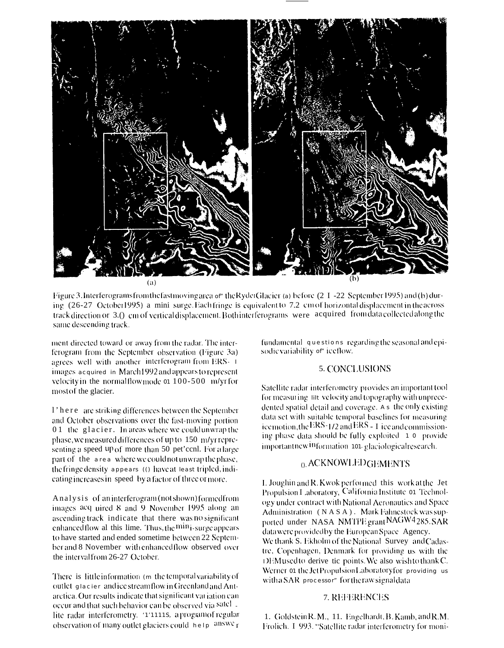

Figure 3. Interferograms from the fast moving area or the Rydet Glacier (a) before (2 I -22 September 1995) and (b) during (26-27 October1995) a mini-surge. Each fringe is equivalent to 7.2 cm of horizontal displacement in the across track direction or 3.() cm of vertical displacement. Both interferograms were acquired from data collected along the same descending track.

ment directed toward or away from the radar. The interferogram from the September observation (Figure 3a) agrees well with another interferogram from ERS- 1 images acquired in March 1992 and appears to represent velocity in the normalflow mode or 100-500 m/yr for most of the glacier.

1' here are striking differences between the September and October observations over the fast-moving portion 01 the glacier. In areas where we could unwrap the phase, we measured differences of up to 150 m/yr representing a speed up of more than 50 pet'cenl. For a large part of the area where we could not unwrap the phase, the fringe density appears (0) have at teast tripled, indicating increases in speed by a factor of three or more.

Analysis of an interferogram (not shown) formed from images acq uired 8 and 9 November 1995 along an ascending track indicate that there was no significant enhanced flow al this lime. Thus, the min<sub>1</sub>-surge appears to have started and ended sometime between 22 September and 8 November with enhanced flow observed over the interval from 26-27 October.

There is little information (m the temporal variability of outlet glacier and ice streamflow in Greenland and Antarctica. Our results indicate that significant variation can occur and that such behavior can be observed via satel. lite radar interferometry. '1'11118, aprogramof regular observation of many outlet glaciers could help answer

fundamental questions regarding the seasonal and episodic variability of" ice flow.

#### **5. CONCLUSIONS**

Satellite radar interferometry provides an important tool for measuring lift velocity and topography with unprecedented spatial detail and coverage. As the only existing data set with suitable temporal baselines for measuring ice motion, the ERS-1/2 and ERS - I ice and commissioning phase data should be fully exploited 10 provide importantnew<sup>in</sup>formation 101-glaciologicalresearch.

#### 0. ACKNOWLED GEMENTS

I. Joughin and R. Kwok performed this work at the Jet Propulsion Laboratory, California Institute 01 Technology under contract with National Aeronautics and Space Administration (NASA). Mark Fahnestock was supported under NASA NMTPE grant NAGW4285. SAR data were provided by the European Space Agency. We thank S. Ekholm of the National Survey and Cadastre, Copenhagen, Denmark for providing us with the DEMused to derive tic points. We also wish to thank C. Werner 01 the JetPropulsionLaboratoryfor providing us with a SAR processor" for the raw signal data

#### 7. REFERENCES

1. Goldstein R. M., 11. Engelhardt, B. Kamb, and R.M. Frolich. I 993. "Satellite radar interferometry for moni-